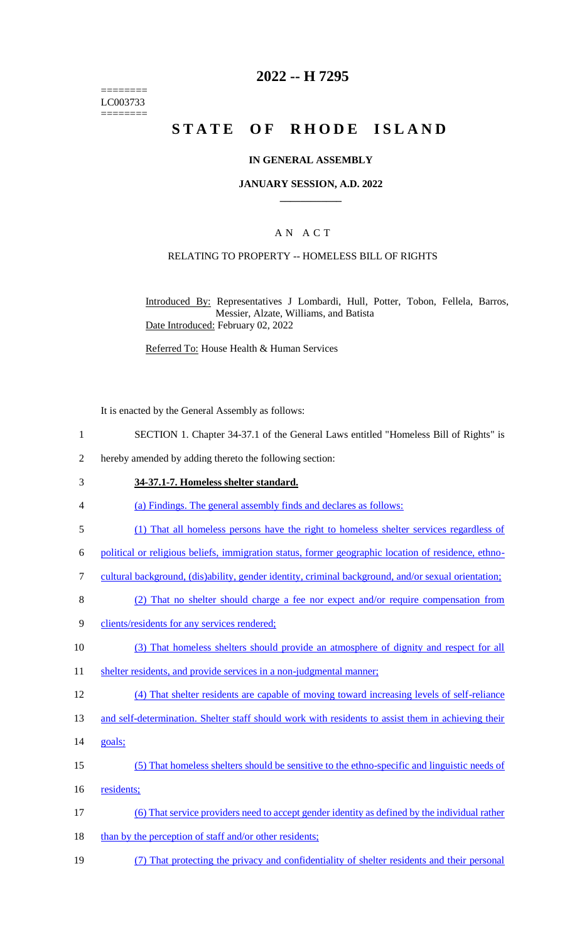======== LC003733 ========

### **2022 -- H 7295**

# **STATE OF RHODE ISLAND**

#### **IN GENERAL ASSEMBLY**

#### **JANUARY SESSION, A.D. 2022 \_\_\_\_\_\_\_\_\_\_\_\_**

### A N A C T

### RELATING TO PROPERTY -- HOMELESS BILL OF RIGHTS

Introduced By: Representatives J Lombardi, Hull, Potter, Tobon, Fellela, Barros, Messier, Alzate, Williams, and Batista Date Introduced: February 02, 2022

Referred To: House Health & Human Services

It is enacted by the General Assembly as follows:

- 1 SECTION 1. Chapter 34-37.1 of the General Laws entitled "Homeless Bill of Rights" is
- 2 hereby amended by adding thereto the following section:

#### 3 **34-37.1-7. Homeless shelter standard.**

- 4 (a) Findings. The general assembly finds and declares as follows:
- 5 (1) That all homeless persons have the right to homeless shelter services regardless of
- 6 political or religious beliefs, immigration status, former geographic location of residence, ethno-
- 7 cultural background, (dis)ability, gender identity, criminal background, and/or sexual orientation;
- 8 (2) That no shelter should charge a fee nor expect and/or require compensation from
- 9 clients/residents for any services rendered;
- 10 (3) That homeless shelters should provide an atmosphere of dignity and respect for all
- 11 shelter residents, and provide services in a non-judgmental manner;
- 12 (4) That shelter residents are capable of moving toward increasing levels of self-reliance
- 13 and self-determination. Shelter staff should work with residents to assist them in achieving their
- 14 goals;
- 15 (5) That homeless shelters should be sensitive to the ethno-specific and linguistic needs of 16 residents;
- 17 (6) That service providers need to accept gender identity as defined by the individual rather
- 18 than by the perception of staff and/or other residents;
- 19 (7) That protecting the privacy and confidentiality of shelter residents and their personal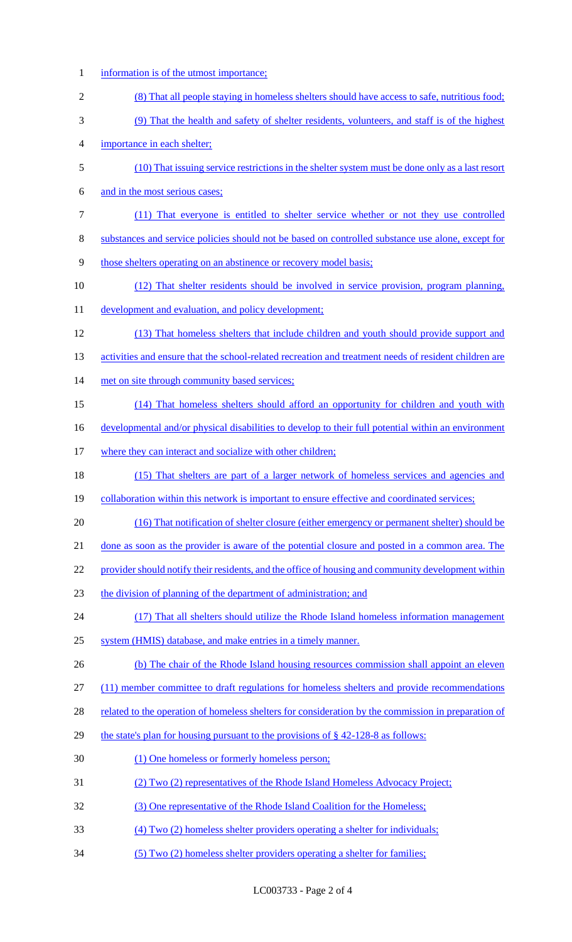information is of the utmost importance; (8) That all people staying in homeless shelters should have access to safe, nutritious food; (9) That the health and safety of shelter residents, volunteers, and staff is of the highest importance in each shelter; (10) That issuing service restrictions in the shelter system must be done only as a last resort and in the most serious cases; (11) That everyone is entitled to shelter service whether or not they use controlled substances and service policies should not be based on controlled substance use alone, except for those shelters operating on an abstinence or recovery model basis; (12) That shelter residents should be involved in service provision, program planning, 11 development and evaluation, and policy development; (13) That homeless shelters that include children and youth should provide support and 13 activities and ensure that the school-related recreation and treatment needs of resident children are 14 met on site through community based services; (14) That homeless shelters should afford an opportunity for children and youth with 16 developmental and/or physical disabilities to develop to their full potential within an environment 17 where they can interact and socialize with other children; (15) That shelters are part of a larger network of homeless services and agencies and 19 collaboration within this network is important to ensure effective and coordinated services; (16) That notification of shelter closure (either emergency or permanent shelter) should be done as soon as the provider is aware of the potential closure and posted in a common area. The 22 provider should notify their residents, and the office of housing and community development within the division of planning of the department of administration; and 24 (17) That all shelters should utilize the Rhode Island homeless information management system (HMIS) database, and make entries in a timely manner. 26 (b) The chair of the Rhode Island housing resources commission shall appoint an eleven (11) member committee to draft regulations for homeless shelters and provide recommendations 28 related to the operation of homeless shelters for consideration by the commission in preparation of the state's plan for housing pursuant to the provisions of § 42-128-8 as follows: (1) One homeless or formerly homeless person; (2) Two (2) representatives of the Rhode Island Homeless Advocacy Project; (3) One representative of the Rhode Island Coalition for the Homeless; (4) Two (2) homeless shelter providers operating a shelter for individuals; (5) Two (2) homeless shelter providers operating a shelter for families;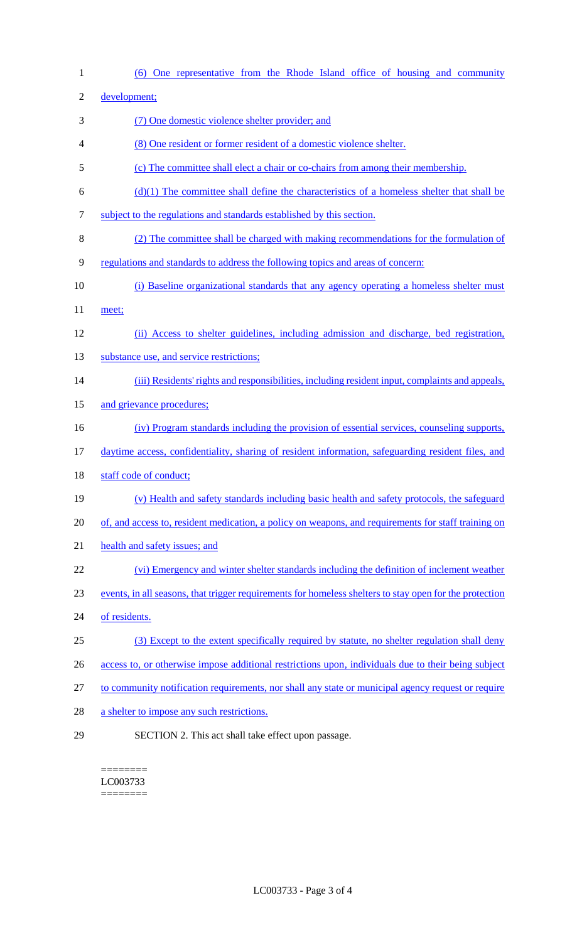(6) One representative from the Rhode Island office of housing and community development; (7) One domestic violence shelter provider; and (8) One resident or former resident of a domestic violence shelter. (c) The committee shall elect a chair or co-chairs from among their membership.  $\phi$  (d)(1) The committee shall define the characteristics of a homeless shelter that shall be subject to the regulations and standards established by this section. (2) The committee shall be charged with making recommendations for the formulation of regulations and standards to address the following topics and areas of concern: (i) Baseline organizational standards that any agency operating a homeless shelter must 11 meet; (ii) Access to shelter guidelines, including admission and discharge, bed registration, 13 substance use, and service restrictions; (iii) Residents' rights and responsibilities, including resident input, complaints and appeals, 15 and grievance procedures; (iv) Program standards including the provision of essential services, counseling supports, daytime access, confidentiality, sharing of resident information, safeguarding resident files, and 18 staff code of conduct; (v) Health and safety standards including basic health and safety protocols, the safeguard of, and access to, resident medication, a policy on weapons, and requirements for staff training on health and safety issues; and (vi) Emergency and winter shelter standards including the definition of inclement weather events, in all seasons, that trigger requirements for homeless shelters to stay open for the protection of residents. (3) Except to the extent specifically required by statute, no shelter regulation shall deny access to, or otherwise impose additional restrictions upon, individuals due to their being subject to community notification requirements, nor shall any state or municipal agency request or require 28 a shelter to impose any such restrictions. SECTION 2. This act shall take effect upon passage.

======== LC003733 ========